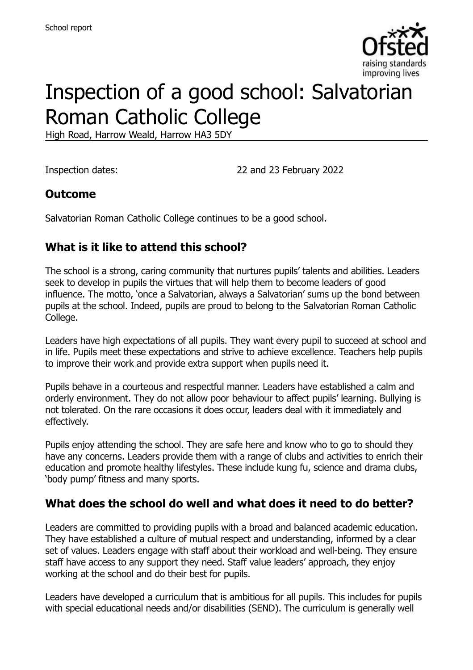

# Inspection of a good school: Salvatorian Roman Catholic College

High Road, Harrow Weald, Harrow HA3 5DY

Inspection dates: 22 and 23 February 2022

#### **Outcome**

Salvatorian Roman Catholic College continues to be a good school.

#### **What is it like to attend this school?**

The school is a strong, caring community that nurtures pupils' talents and abilities. Leaders seek to develop in pupils the virtues that will help them to become leaders of good influence. The motto, 'once a Salvatorian, always a Salvatorian' sums up the bond between pupils at the school. Indeed, pupils are proud to belong to the Salvatorian Roman Catholic College.

Leaders have high expectations of all pupils. They want every pupil to succeed at school and in life. Pupils meet these expectations and strive to achieve excellence. Teachers help pupils to improve their work and provide extra support when pupils need it.

Pupils behave in a courteous and respectful manner. Leaders have established a calm and orderly environment. They do not allow poor behaviour to affect pupils' learning. Bullying is not tolerated. On the rare occasions it does occur, leaders deal with it immediately and effectively.

Pupils enjoy attending the school. They are safe here and know who to go to should they have any concerns. Leaders provide them with a range of clubs and activities to enrich their education and promote healthy lifestyles. These include kung fu, science and drama clubs, 'body pump' fitness and many sports.

#### **What does the school do well and what does it need to do better?**

Leaders are committed to providing pupils with a broad and balanced academic education. They have established a culture of mutual respect and understanding, informed by a clear set of values. Leaders engage with staff about their workload and well-being. They ensure staff have access to any support they need. Staff value leaders' approach, they enjoy working at the school and do their best for pupils.

Leaders have developed a curriculum that is ambitious for all pupils. This includes for pupils with special educational needs and/or disabilities (SEND). The curriculum is generally well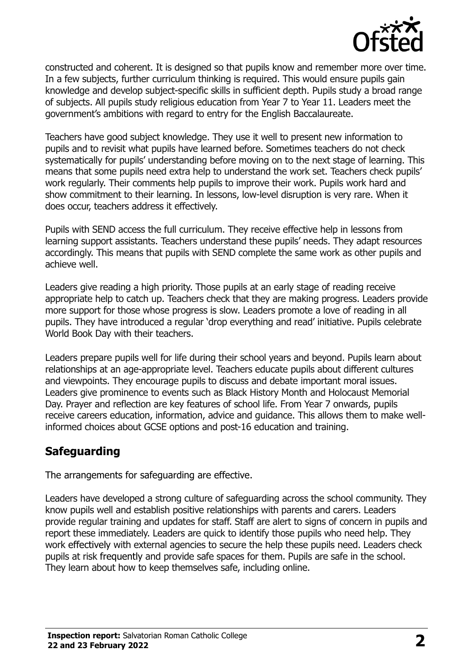

constructed and coherent. It is designed so that pupils know and remember more over time. In a few subjects, further curriculum thinking is required. This would ensure pupils gain knowledge and develop subject-specific skills in sufficient depth. Pupils study a broad range of subjects. All pupils study religious education from Year 7 to Year 11. Leaders meet the government's ambitions with regard to entry for the English Baccalaureate.

Teachers have good subject knowledge. They use it well to present new information to pupils and to revisit what pupils have learned before. Sometimes teachers do not check systematically for pupils' understanding before moving on to the next stage of learning. This means that some pupils need extra help to understand the work set. Teachers check pupils' work regularly. Their comments help pupils to improve their work. Pupils work hard and show commitment to their learning. In lessons, low-level disruption is very rare. When it does occur, teachers address it effectively.

Pupils with SEND access the full curriculum. They receive effective help in lessons from learning support assistants. Teachers understand these pupils' needs. They adapt resources accordingly. This means that pupils with SEND complete the same work as other pupils and achieve well.

Leaders give reading a high priority. Those pupils at an early stage of reading receive appropriate help to catch up. Teachers check that they are making progress. Leaders provide more support for those whose progress is slow. Leaders promote a love of reading in all pupils. They have introduced a regular 'drop everything and read' initiative. Pupils celebrate World Book Day with their teachers.

Leaders prepare pupils well for life during their school years and beyond. Pupils learn about relationships at an age-appropriate level. Teachers educate pupils about different cultures and viewpoints. They encourage pupils to discuss and debate important moral issues. Leaders give prominence to events such as Black History Month and Holocaust Memorial Day. Prayer and reflection are key features of school life. From Year 7 onwards, pupils receive careers education, information, advice and guidance. This allows them to make wellinformed choices about GCSE options and post-16 education and training.

# **Safeguarding**

The arrangements for safeguarding are effective.

Leaders have developed a strong culture of safeguarding across the school community. They know pupils well and establish positive relationships with parents and carers. Leaders provide regular training and updates for staff. Staff are alert to signs of concern in pupils and report these immediately. Leaders are quick to identify those pupils who need help. They work effectively with external agencies to secure the help these pupils need. Leaders check pupils at risk frequently and provide safe spaces for them. Pupils are safe in the school. They learn about how to keep themselves safe, including online.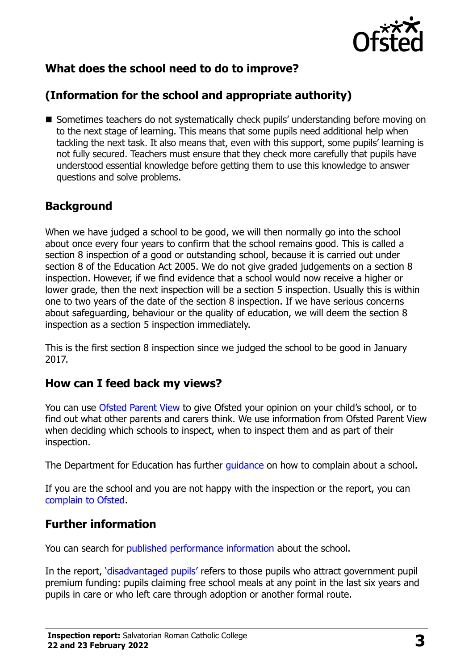

# **What does the school need to do to improve?**

# **(Information for the school and appropriate authority)**

■ Sometimes teachers do not systematically check pupils' understanding before moving on to the next stage of learning. This means that some pupils need additional help when tackling the next task. It also means that, even with this support, some pupils' learning is not fully secured. Teachers must ensure that they check more carefully that pupils have understood essential knowledge before getting them to use this knowledge to answer questions and solve problems.

#### **Background**

When we have judged a school to be good, we will then normally go into the school about once every four years to confirm that the school remains good. This is called a section 8 inspection of a good or outstanding school, because it is carried out under section 8 of the Education Act 2005. We do not give graded judgements on a section 8 inspection. However, if we find evidence that a school would now receive a higher or lower grade, then the next inspection will be a section 5 inspection. Usually this is within one to two years of the date of the section 8 inspection. If we have serious concerns about safeguarding, behaviour or the quality of education, we will deem the section 8 inspection as a section 5 inspection immediately.

This is the first section 8 inspection since we judged the school to be good in January 2017.

#### **How can I feed back my views?**

You can use [Ofsted Parent View](https://parentview.ofsted.gov.uk/) to give Ofsted your opinion on your child's school, or to find out what other parents and carers think. We use information from Ofsted Parent View when deciding which schools to inspect, when to inspect them and as part of their inspection.

The Department for Education has further quidance on how to complain about a school.

If you are the school and you are not happy with the inspection or the report, you can [complain to Ofsted.](https://www.gov.uk/complain-ofsted-report)

#### **Further information**

You can search for [published performance information](http://www.compare-school-performance.service.gov.uk/) about the school.

In the report, '[disadvantaged pupils](http://www.gov.uk/guidance/pupil-premium-information-for-schools-and-alternative-provision-settings)' refers to those pupils who attract government pupil premium funding: pupils claiming free school meals at any point in the last six years and pupils in care or who left care through adoption or another formal route.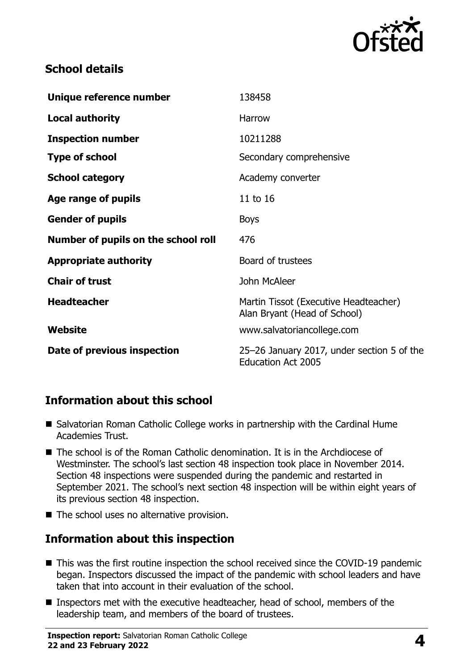

### **School details**

| Unique reference number             | 138458                                                                  |
|-------------------------------------|-------------------------------------------------------------------------|
| <b>Local authority</b>              | Harrow                                                                  |
| <b>Inspection number</b>            | 10211288                                                                |
| <b>Type of school</b>               | Secondary comprehensive                                                 |
| <b>School category</b>              | Academy converter                                                       |
| Age range of pupils                 | 11 to 16                                                                |
| <b>Gender of pupils</b>             | <b>Boys</b>                                                             |
| Number of pupils on the school roll | 476                                                                     |
| <b>Appropriate authority</b>        | Board of trustees                                                       |
| <b>Chair of trust</b>               | John McAleer                                                            |
| <b>Headteacher</b>                  | Martin Tissot (Executive Headteacher)<br>Alan Bryant (Head of School)   |
| Website                             | www.salvatoriancollege.com                                              |
| Date of previous inspection         | 25-26 January 2017, under section 5 of the<br><b>Education Act 2005</b> |

#### **Information about this school**

- Salvatorian Roman Catholic College works in partnership with the Cardinal Hume Academies Trust.
- The school is of the Roman Catholic denomination. It is in the Archdiocese of Westminster. The school's last section 48 inspection took place in November 2014. Section 48 inspections were suspended during the pandemic and restarted in September 2021. The school's next section 48 inspection will be within eight years of its previous section 48 inspection.
- The school uses no alternative provision.

# **Information about this inspection**

- This was the first routine inspection the school received since the COVID-19 pandemic began. Inspectors discussed the impact of the pandemic with school leaders and have taken that into account in their evaluation of the school.
- Inspectors met with the executive headteacher, head of school, members of the leadership team, and members of the board of trustees.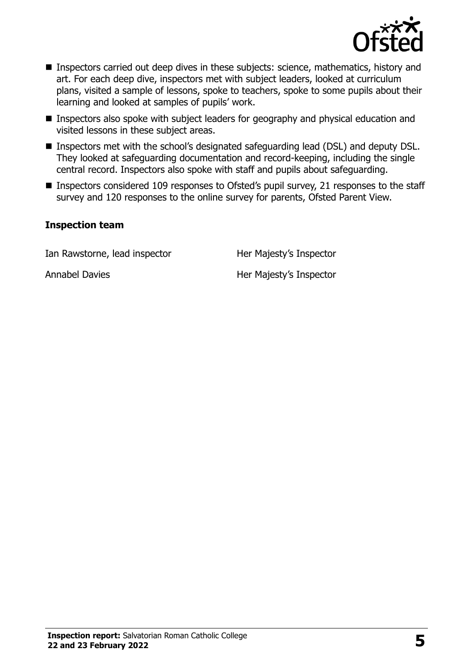

- **Inspectors carried out deep dives in these subjects: science, mathematics, history and** art. For each deep dive, inspectors met with subject leaders, looked at curriculum plans, visited a sample of lessons, spoke to teachers, spoke to some pupils about their learning and looked at samples of pupils' work.
- **Inspectors also spoke with subject leaders for geography and physical education and** visited lessons in these subject areas.
- Inspectors met with the school's designated safeguarding lead (DSL) and deputy DSL. They looked at safeguarding documentation and record-keeping, including the single central record. Inspectors also spoke with staff and pupils about safeguarding.
- Inspectors considered 109 responses to Ofsted's pupil survey, 21 responses to the staff survey and 120 responses to the online survey for parents, Ofsted Parent View.

#### **Inspection team**

Ian Rawstorne, lead inspector **Her Majesty's Inspector** 

Annabel Davies **Her Majesty's Inspector**